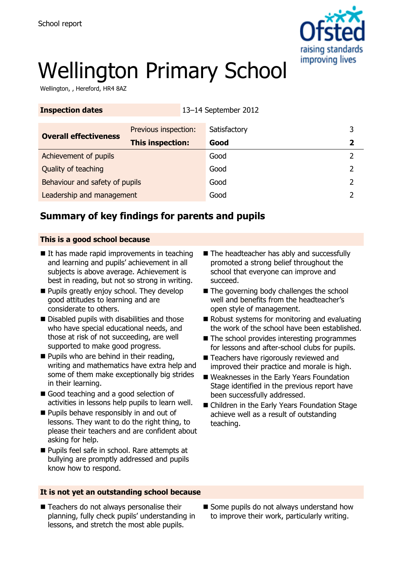

# Wellington Primary School

Wellington, , Hereford, HR4 8AZ

| <b>Inspection dates</b>        | 13-14 September 2012    |              |   |
|--------------------------------|-------------------------|--------------|---|
| <b>Overall effectiveness</b>   | Previous inspection:    | Satisfactory | 3 |
|                                | <b>This inspection:</b> | Good         |   |
| Achievement of pupils          |                         | Good         |   |
| Quality of teaching            |                         | Good         |   |
| Behaviour and safety of pupils |                         | Good         |   |
| Leadership and management      |                         | Good         |   |

## **Summary of key findings for parents and pupils**

#### **This is a good school because**

- $\blacksquare$  It has made rapid improvements in teaching and learning and pupils' achievement in all subjects is above average. Achievement is best in reading, but not so strong in writing.
- **Pupils greatly enjoy school. They develop** good attitudes to learning and are considerate to others.
- Disabled pupils with disabilities and those who have special educational needs, and those at risk of not succeeding, are well supported to make good progress.
- **Pupils who are behind in their reading,** writing and mathematics have extra help and some of them make exceptionally big strides in their learning.
- Good teaching and a good selection of activities in lessons help pupils to learn well.
- **Pupils behave responsibly in and out of** lessons. They want to do the right thing, to please their teachers and are confident about asking for help.
- **Pupils feel safe in school. Rare attempts at** bullying are promptly addressed and pupils know how to respond.

#### **It is not yet an outstanding school because**

■ Teachers do not always personalise their planning, fully check pupils' understanding in lessons, and stretch the most able pupils.

- The headteacher has ably and successfully promoted a strong belief throughout the school that everyone can improve and succeed.
- The governing body challenges the school well and benefits from the headteacher's open style of management.
- $\blacksquare$  Robust systems for monitoring and evaluating the work of the school have been established.
- $\blacksquare$  The school provides interesting programmes for lessons and after-school clubs for pupils.
- Teachers have rigorously reviewed and improved their practice and morale is high.
- Weaknesses in the Early Years Foundation Stage identified in the previous report have been successfully addressed.
- Children in the Early Years Foundation Stage achieve well as a result of outstanding teaching.

Some pupils do not always understand how to improve their work, particularly writing.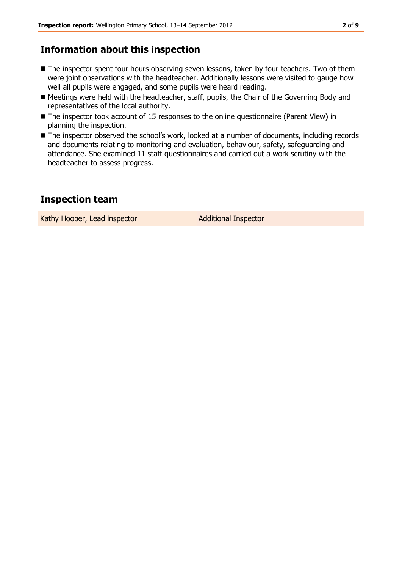## **Information about this inspection**

- The inspector spent four hours observing seven lessons, taken by four teachers. Two of them were joint observations with the headteacher. Additionally lessons were visited to gauge how well all pupils were engaged, and some pupils were heard reading.
- Meetings were held with the headteacher, staff, pupils, the Chair of the Governing Body and representatives of the local authority.
- The inspector took account of 15 responses to the online questionnaire (Parent View) in planning the inspection.
- The inspector observed the school's work, looked at a number of documents, including records and documents relating to monitoring and evaluation, behaviour, safety, safeguarding and attendance. She examined 11 staff questionnaires and carried out a work scrutiny with the headteacher to assess progress.

### **Inspection team**

Kathy Hooper, Lead inspector **Additional Inspector**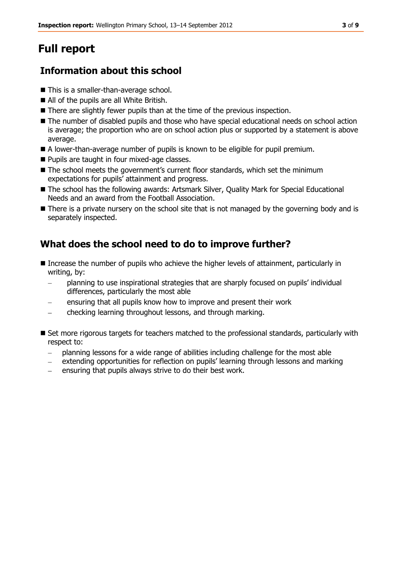## **Full report**

## **Information about this school**

- This is a smaller-than-average school.
- All of the pupils are all White British.
- There are slightly fewer pupils than at the time of the previous inspection.
- $\blacksquare$  The number of disabled pupils and those who have special educational needs on school action is average; the proportion who are on school action plus or supported by a statement is above average.
- A lower-than-average number of pupils is known to be eligible for pupil premium.
- **Pupils are taught in four mixed-age classes.**
- The school meets the government's current floor standards, which set the minimum expectations for pupils' attainment and progress.
- The school has the following awards: Artsmark Silver, Quality Mark for Special Educational Needs and an award from the Football Association.
- **There is a private nursery on the school site that is not managed by the governing body and is** separately inspected.

## **What does the school need to do to improve further?**

- Increase the number of pupils who achieve the higher levels of attainment, particularly in writing, by:
	- planning to use inspirational strategies that are sharply focused on pupils' individual  $\equiv$ differences, particularly the most able
	- ensuring that all pupils know how to improve and present their work
	- checking learning throughout lessons, and through marking.
- Set more rigorous targets for teachers matched to the professional standards, particularly with respect to:
	- planning lessons for a wide range of abilities including challenge for the most able
	- extending opportunities for reflection on pupils' learning through lessons and marking  $\frac{1}{2}$
	- ensuring that pupils always strive to do their best work.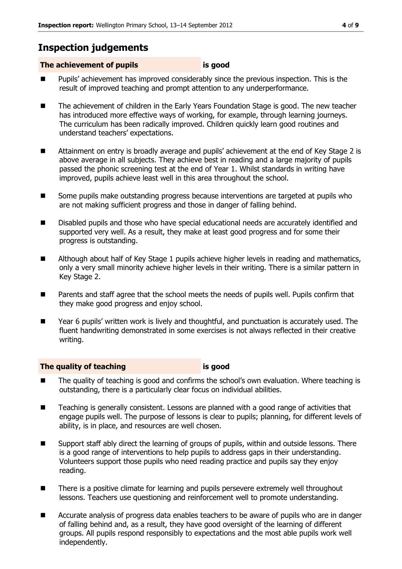## **Inspection judgements**

#### **The achievement of pupils is good**

- **Pupils'** achievement has improved considerably since the previous inspection. This is the result of improved teaching and prompt attention to any underperformance.
- The achievement of children in the Early Years Foundation Stage is good. The new teacher has introduced more effective ways of working, for example, through learning journeys. The curriculum has been radically improved. Children quickly learn good routines and understand teachers' expectations.
- Attainment on entry is broadly average and pupils' achievement at the end of Key Stage 2 is above average in all subjects. They achieve best in reading and a large majority of pupils passed the phonic screening test at the end of Year 1. Whilst standards in writing have improved, pupils achieve least well in this area throughout the school.
- Some pupils make outstanding progress because interventions are targeted at pupils who are not making sufficient progress and those in danger of falling behind.
- Disabled pupils and those who have special educational needs are accurately identified and supported very well. As a result, they make at least good progress and for some their progress is outstanding.
- Although about half of Key Stage 1 pupils achieve higher levels in reading and mathematics, only a very small minority achieve higher levels in their writing. There is a similar pattern in Key Stage 2.
- Parents and staff agree that the school meets the needs of pupils well. Pupils confirm that they make good progress and enjoy school.
- Year 6 pupils' written work is lively and thoughtful, and punctuation is accurately used. The fluent handwriting demonstrated in some exercises is not always reflected in their creative writing.

#### **The quality of teaching is good**

- The quality of teaching is good and confirms the school's own evaluation. Where teaching is outstanding, there is a particularly clear focus on individual abilities.
- Teaching is generally consistent. Lessons are planned with a good range of activities that engage pupils well. The purpose of lessons is clear to pupils; planning, for different levels of ability, is in place, and resources are well chosen.
- Support staff ably direct the learning of groups of pupils, within and outside lessons. There is a good range of interventions to help pupils to address gaps in their understanding. Volunteers support those pupils who need reading practice and pupils say they enjoy reading.
- There is a positive climate for learning and pupils persevere extremely well throughout lessons. Teachers use questioning and reinforcement well to promote understanding.
- Accurate analysis of progress data enables teachers to be aware of pupils who are in danger of falling behind and, as a result, they have good oversight of the learning of different groups. All pupils respond responsibly to expectations and the most able pupils work well independently.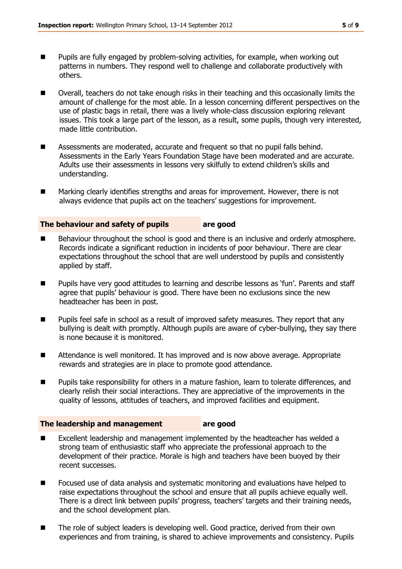- **Pupils are fully engaged by problem-solving activities, for example, when working out** patterns in numbers. They respond well to challenge and collaborate productively with others.
- Overall, teachers do not take enough risks in their teaching and this occasionally limits the amount of challenge for the most able. In a lesson concerning different perspectives on the use of plastic bags in retail, there was a lively whole-class discussion exploring relevant issues. This took a large part of the lesson, as a result, some pupils, though very interested, made little contribution.
- Assessments are moderated, accurate and frequent so that no pupil falls behind. Assessments in the Early Years Foundation Stage have been moderated and are accurate. Adults use their assessments in lessons very skilfully to extend children's skills and understanding.
- Marking clearly identifies strengths and areas for improvement. However, there is not always evidence that pupils act on the teachers' suggestions for improvement.

#### **The behaviour and safety of pupils are good**

- Behaviour throughout the school is good and there is an inclusive and orderly atmosphere. Records indicate a significant reduction in incidents of poor behaviour. There are clear expectations throughout the school that are well understood by pupils and consistently applied by staff.
- **Pupils have very good attitudes to learning and describe lessons as 'fun'. Parents and staff** agree that pupils' behaviour is good. There have been no exclusions since the new headteacher has been in post.
- **Pupils feel safe in school as a result of improved safety measures. They report that any** bullying is dealt with promptly. Although pupils are aware of cyber-bullying, they say there is none because it is monitored.
- Attendance is well monitored. It has improved and is now above average. Appropriate rewards and strategies are in place to promote good attendance.
- **Pupils take responsibility for others in a mature fashion, learn to tolerate differences, and** clearly relish their social interactions. They are appreciative of the improvements in the quality of lessons, attitudes of teachers, and improved facilities and equipment.

#### **The leadership and management are good**

- Excellent leadership and management implemented by the headteacher has welded a strong team of enthusiastic staff who appreciate the professional approach to the development of their practice. Morale is high and teachers have been buoyed by their recent successes.
- **F** Focused use of data analysis and systematic monitoring and evaluations have helped to raise expectations throughout the school and ensure that all pupils achieve equally well. There is a direct link between pupils' progress, teachers' targets and their training needs, and the school development plan.
- The role of subject leaders is developing well. Good practice, derived from their own experiences and from training, is shared to achieve improvements and consistency. Pupils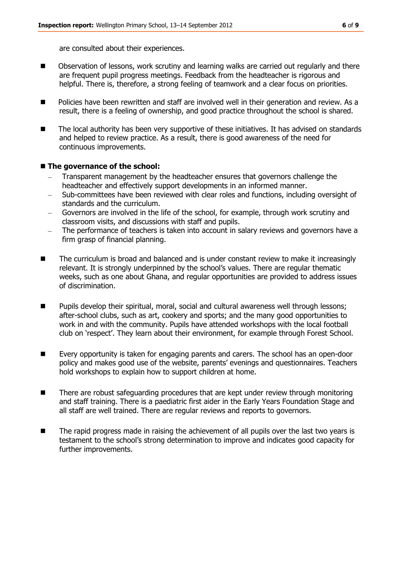are consulted about their experiences.

- Observation of lessons, work scrutiny and learning walks are carried out regularly and there are frequent pupil progress meetings. Feedback from the headteacher is rigorous and helpful. There is, therefore, a strong feeling of teamwork and a clear focus on priorities.
- **Policies have been rewritten and staff are involved well in their generation and review. As a** result, there is a feeling of ownership, and good practice throughout the school is shared.
- The local authority has been very supportive of these initiatives. It has advised on standards and helped to review practice. As a result, there is good awareness of the need for continuous improvements.

#### $\blacksquare$  The governance of the school:

- Transparent management by the headteacher ensures that governors challenge the headteacher and effectively support developments in an informed manner.
- Sub-committees have been reviewed with clear roles and functions, including oversight of standards and the curriculum.
- Governors are involved in the life of the school, for example, through work scrutiny and classroom visits, and discussions with staff and pupils.
- The performance of teachers is taken into account in salary reviews and governors have a firm grasp of financial planning.
- The curriculum is broad and balanced and is under constant review to make it increasingly relevant. It is strongly underpinned by the school's values. There are regular thematic weeks, such as one about Ghana, and regular opportunities are provided to address issues of discrimination.
- **Pupils develop their spiritual, moral, social and cultural awareness well through lessons;** after-school clubs, such as art, cookery and sports; and the many good opportunities to work in and with the community. Pupils have attended workshops with the local football club on 'respect'. They learn about their environment, for example through Forest School.
- Every opportunity is taken for engaging parents and carers. The school has an open-door policy and makes good use of the website, parents' evenings and questionnaires. Teachers hold workshops to explain how to support children at home.
- There are robust safeguarding procedures that are kept under review through monitoring and staff training. There is a paediatric first aider in the Early Years Foundation Stage and all staff are well trained. There are regular reviews and reports to governors.
- The rapid progress made in raising the achievement of all pupils over the last two years is testament to the school's strong determination to improve and indicates good capacity for further improvements.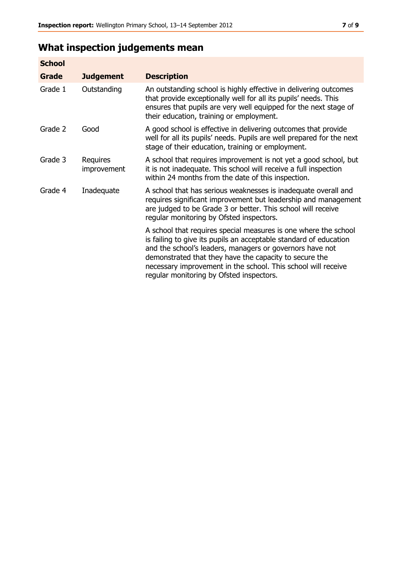## **What inspection judgements mean**

| <b>School</b> |                         |                                                                                                                                                                                                                                                                                                                                                                         |
|---------------|-------------------------|-------------------------------------------------------------------------------------------------------------------------------------------------------------------------------------------------------------------------------------------------------------------------------------------------------------------------------------------------------------------------|
| Grade         | <b>Judgement</b>        | <b>Description</b>                                                                                                                                                                                                                                                                                                                                                      |
| Grade 1       | Outstanding             | An outstanding school is highly effective in delivering outcomes<br>that provide exceptionally well for all its pupils' needs. This<br>ensures that pupils are very well equipped for the next stage of<br>their education, training or employment.                                                                                                                     |
| Grade 2       | Good                    | A good school is effective in delivering outcomes that provide<br>well for all its pupils' needs. Pupils are well prepared for the next<br>stage of their education, training or employment.                                                                                                                                                                            |
| Grade 3       | Requires<br>improvement | A school that requires improvement is not yet a good school, but<br>it is not inadequate. This school will receive a full inspection<br>within 24 months from the date of this inspection.                                                                                                                                                                              |
| Grade 4       | Inadequate              | A school that has serious weaknesses is inadequate overall and<br>requires significant improvement but leadership and management<br>are judged to be Grade 3 or better. This school will receive<br>regular monitoring by Ofsted inspectors.                                                                                                                            |
|               |                         | A school that requires special measures is one where the school<br>is failing to give its pupils an acceptable standard of education<br>and the school's leaders, managers or governors have not<br>demonstrated that they have the capacity to secure the<br>necessary improvement in the school. This school will receive<br>regular monitoring by Ofsted inspectors. |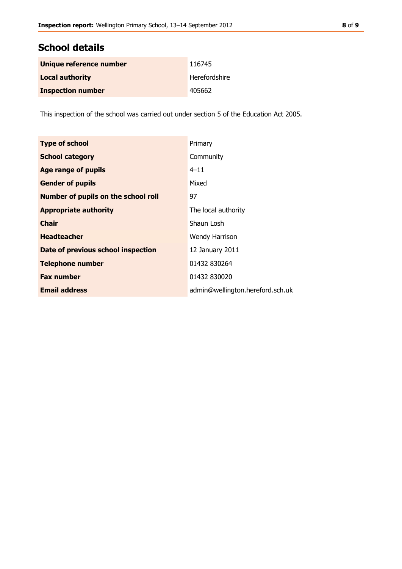### **School details**

| Unique reference number  | 116745        |
|--------------------------|---------------|
| <b>Local authority</b>   | Herefordshire |
| <b>Inspection number</b> | 405662        |

This inspection of the school was carried out under section 5 of the Education Act 2005.

| <b>Type of school</b>                      | Primary                          |
|--------------------------------------------|----------------------------------|
| <b>School category</b>                     | Community                        |
| <b>Age range of pupils</b>                 | $4 - 11$                         |
| <b>Gender of pupils</b>                    | Mixed                            |
| <b>Number of pupils on the school roll</b> | 97                               |
| <b>Appropriate authority</b>               | The local authority              |
| <b>Chair</b>                               | Shaun Losh                       |
| <b>Headteacher</b>                         | Wendy Harrison                   |
| Date of previous school inspection         | 12 January 2011                  |
| <b>Telephone number</b>                    | 01432 830264                     |
| <b>Fax number</b>                          | 01432 830020                     |
| <b>Email address</b>                       | admin@wellington.hereford.sch.uk |